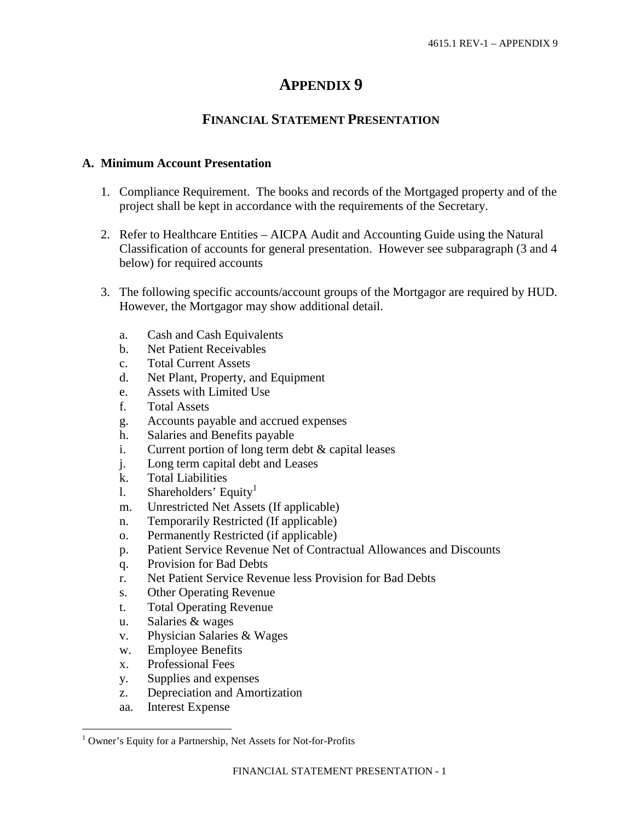# **APPENDIX 9**

# **FINANCIAL STATEMENT PRESENTATION**

#### **A. Minimum Account Presentation**

- 1. Compliance Requirement. The books and records of the Mortgaged property and of the project shall be kept in accordance with the requirements of the Secretary.
- 2. Refer to Healthcare Entities AICPA Audit and Accounting Guide using the Natural Classification of accounts for general presentation. However see subparagraph (3 and 4 below) for required accounts
- 3. The following specific accounts/account groups of the Mortgagor are required by HUD. However, the Mortgagor may show additional detail.
	- a. Cash and Cash Equivalents
	- b. Net Patient Receivables
	- c. Total Current Assets
	- d. Net Plant, Property, and Equipment
	- e. Assets with Limited Use
	- f. Total Assets
	- g. Accounts payable and accrued expenses
	- h. Salaries and Benefits payable
	- i. Current portion of long term debt & capital leases
	- j. Long term capital debt and Leases
	- k. Total Liabilities
	- l.Shareholders' Equit[y](#page-0-0)<sup>1</sup>
	- m. Unrestricted Net Assets (If applicable)
	- n. Temporarily Restricted (If applicable)
	- o. Permanently Restricted (if applicable)
	- p. Patient Service Revenue Net of Contractual Allowances and Discounts
	- q. Provision for Bad Debts
	- r. Net Patient Service Revenue less Provision for Bad Debts
	- s. Other Operating Revenue
	- t. Total Operating Revenue
	- u. Salaries & wages
	- v. Physician Salaries & Wages
	- w. Employee Benefits
	- x. Professional Fees
	- y. Supplies and expenses
	- z. Depreciation and Amortization
	- aa. Interest Expense

<span id="page-0-0"></span><sup>&</sup>lt;sup>1</sup> Owner's Equity for a Partnership, Net Assets for Not-for-Profits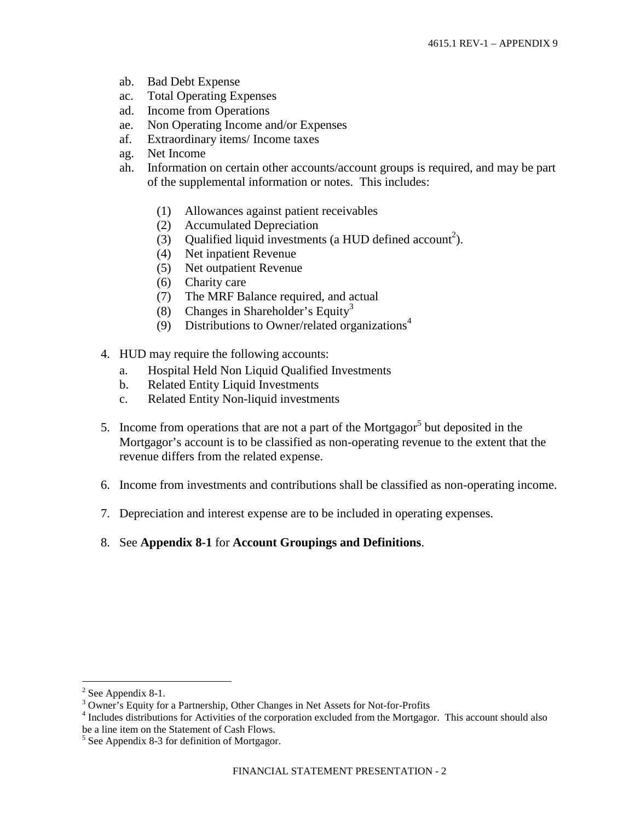- ab. Bad Debt Expense
- ac. Total Operating Expenses
- ad. Income from Operations
- ae. Non Operating Income and/or Expenses
- af. Extraordinary items/ Income taxes
- ag. Net Income
- ah. Information on certain other accounts/account groups is required, and may be part of the supplemental information or notes. This includes:
	- (1) Allowances against patient receivables
	- (2) Accumulated Depreciation
	- (3) Qualified liquid investments (a HUD defined account<sup>[2](#page-1-0)</sup>).
	- (4) Net inpatient Revenue
	- (5) Net outpatient Revenue
	- (6) Charity care
	- (7) The MRF Balance required, and actual
	- (8)Changes in Shareholder's Equit[y](#page-1-1)<sup>3</sup>
	- [\(9\) Distributions to Owner/related organizations](#page-1-2)<sup>[4](#page-1-2)</sup>
- 4. HUD may require the following accounts:
	- a. Hospital Held Non Liquid Qualified Investments
	- b. Related Entity Liquid Investments
	- c. Related Entity Non-liquid investments
- [5](#page-1-3). Income from operations that are not a part of the Mortgagor<sup>5</sup> but deposited in the Mortgagor's account is to be classified as non-operating revenue to the extent that the revenue differs from the related expense.
- 6. Income from investments and contributions shall be classified as non-operating income.
- 7. Depreciation and interest expense are to be included in operating expenses.
- 8. See **Appendix 8-1** for **Account Groupings and Definitions**.

<span id="page-1-1"></span><span id="page-1-0"></span> $2$  See Appendix 8-1.

<sup>&</sup>lt;sup>3</sup> Owner's Equity for a Partnership, Other Changes in Net Assets for Not-for-Profits

<span id="page-1-2"></span><sup>&</sup>lt;sup>4</sup> Includes distributions for Activities of the corporation excluded from the Mortgagor. This account should also be a line item on the Statement of Cash Flows.

<span id="page-1-3"></span><sup>&</sup>lt;sup>5</sup> See Appendix 8-3 for definition of Mortgagor.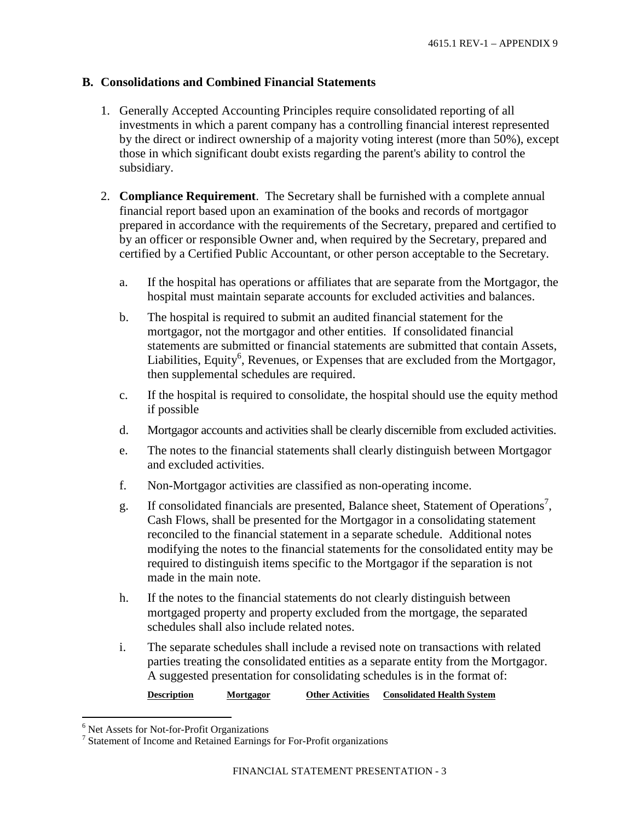#### **B. Consolidations and Combined Financial Statements**

- 1. Generally Accepted Accounting Principles require consolidated reporting of all investments in which a parent company has a controlling financial interest represented by the direct or indirect ownership of a majority voting interest (more than 50%), except those in which significant doubt exists regarding the parent's ability to control the subsidiary.
- 2. **Compliance Requirement**. The Secretary shall be furnished with a complete annual financial report based upon an examination of the books and records of mortgagor prepared in accordance with the requirements of the Secretary, prepared and certified to by an officer or responsible Owner and, when required by the Secretary, prepared and certified by a Certified Public Accountant, or other person acceptable to the Secretary.
	- a. If the hospital has operations or affiliates that are separate from the Mortgagor, the hospital must maintain separate accounts for excluded activities and balances.
	- b. The hospital is required to submit an audited financial statement for the mortgagor, not the mortgagor and other entities. If consolidated financial statements are submitted or financial statements are submitted that contain Assets, Liabilities,Equit[y](#page-2-0)<sup>6</sup>, Revenues, or Expenses that are excluded from the Mortgagor, then supplemental schedules are required.
	- c. If the hospital is required to consolidate, the hospital should use the equity method if possible
	- d. Mortgagor accounts and activities shall be clearly discernible from excluded activities.
	- e. The notes to the financial statements shall clearly distinguish between Mortgagor and excluded activities.
	- f. Non-Mortgagor activities are classified as non-operating income.
	- g. If consolidated financials are presented, Balance sheet, Statement of Operations<sup>[7](#page-2-1)</sup>, Cash Flows, shall be presented for the Mortgagor in a consolidating statement reconciled to the financial statement in a separate schedule. Additional notes modifying the notes to the financial statements for the consolidated entity may be required to distinguish items specific to the Mortgagor if the separation is not made in the main note.
	- h. If the notes to the financial statements do not clearly distinguish between mortgaged property and property excluded from the mortgage, the separated schedules shall also include related notes.
	- i. The separate schedules shall include a revised note on transactions with related parties treating the consolidated entities as a separate entity from the Mortgagor. A suggested presentation for consolidating schedules is in the format of:

**Description Mortgagor Other Activities Consolidated Health System**

<span id="page-2-0"></span><sup>&</sup>lt;sup>6</sup> Net Assets for Not-for-Profit Organizations

<span id="page-2-1"></span><sup>&</sup>lt;sup>7</sup> Statement of Income and Retained Earnings for For-Profit organizations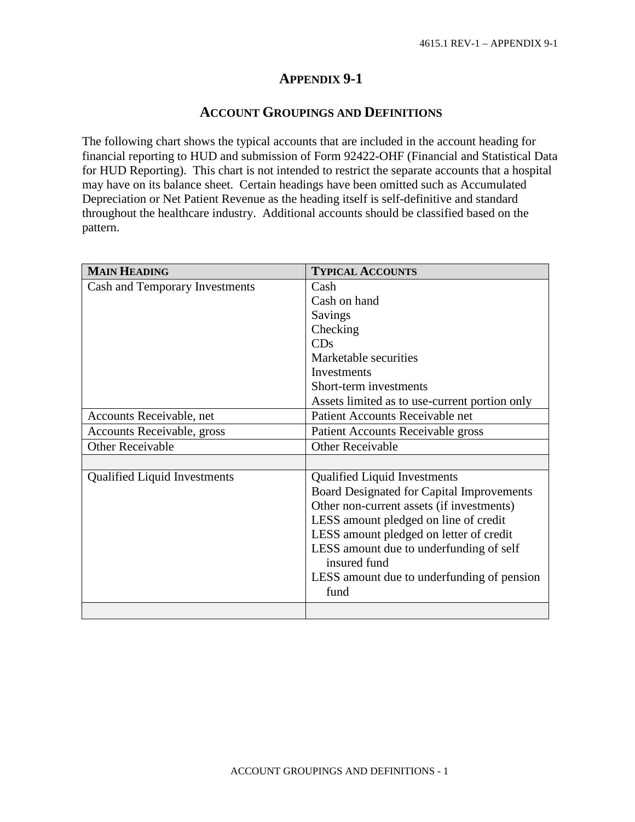# **APPENDIX 9-1**

# **ACCOUNT GROUPINGS AND DEFINITIONS**

The following chart shows the typical accounts that are included in the account heading for financial reporting to HUD and submission of Form 92422-OHF (Financial and Statistical Data for HUD Reporting). This chart is not intended to restrict the separate accounts that a hospital may have on its balance sheet. Certain headings have been omitted such as Accumulated Depreciation or Net Patient Revenue as the heading itself is self-definitive and standard throughout the healthcare industry. Additional accounts should be classified based on the pattern.

| <b>MAIN HEADING</b>                 | <b>TYPICAL ACCOUNTS</b>                                 |  |  |  |
|-------------------------------------|---------------------------------------------------------|--|--|--|
| Cash and Temporary Investments      | Cash                                                    |  |  |  |
|                                     | Cash on hand                                            |  |  |  |
|                                     | Savings                                                 |  |  |  |
|                                     | Checking                                                |  |  |  |
|                                     | CDs                                                     |  |  |  |
|                                     | Marketable securities                                   |  |  |  |
|                                     | Investments                                             |  |  |  |
|                                     | Short-term investments                                  |  |  |  |
|                                     | Assets limited as to use-current portion only           |  |  |  |
| Accounts Receivable, net            | Patient Accounts Receivable net                         |  |  |  |
| Accounts Receivable, gross          | Patient Accounts Receivable gross                       |  |  |  |
| <b>Other Receivable</b>             | <b>Other Receivable</b>                                 |  |  |  |
|                                     |                                                         |  |  |  |
| <b>Qualified Liquid Investments</b> | <b>Qualified Liquid Investments</b>                     |  |  |  |
|                                     | Board Designated for Capital Improvements               |  |  |  |
|                                     | Other non-current assets (if investments)               |  |  |  |
|                                     | LESS amount pledged on line of credit                   |  |  |  |
|                                     | LESS amount pledged on letter of credit                 |  |  |  |
|                                     | LESS amount due to underfunding of self<br>insured fund |  |  |  |
|                                     | LESS amount due to underfunding of pension              |  |  |  |
|                                     | fund                                                    |  |  |  |
|                                     |                                                         |  |  |  |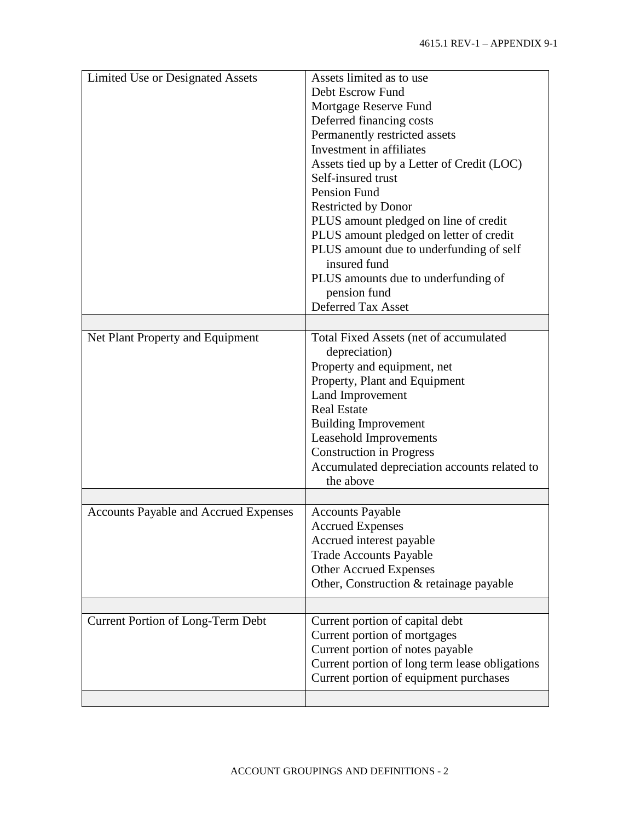| Limited Use or Designated Assets             | Assets limited as to use                                  |  |  |  |
|----------------------------------------------|-----------------------------------------------------------|--|--|--|
|                                              | Debt Escrow Fund                                          |  |  |  |
|                                              | Mortgage Reserve Fund                                     |  |  |  |
|                                              |                                                           |  |  |  |
|                                              | Deferred financing costs                                  |  |  |  |
|                                              | Permanently restricted assets<br>Investment in affiliates |  |  |  |
|                                              |                                                           |  |  |  |
|                                              | Assets tied up by a Letter of Credit (LOC)                |  |  |  |
|                                              | Self-insured trust                                        |  |  |  |
|                                              | Pension Fund                                              |  |  |  |
|                                              | <b>Restricted by Donor</b>                                |  |  |  |
|                                              | PLUS amount pledged on line of credit                     |  |  |  |
|                                              | PLUS amount pledged on letter of credit                   |  |  |  |
|                                              | PLUS amount due to underfunding of self                   |  |  |  |
|                                              | insured fund                                              |  |  |  |
|                                              | PLUS amounts due to underfunding of                       |  |  |  |
|                                              | pension fund                                              |  |  |  |
|                                              | <b>Deferred Tax Asset</b>                                 |  |  |  |
|                                              |                                                           |  |  |  |
| Net Plant Property and Equipment             | Total Fixed Assets (net of accumulated                    |  |  |  |
|                                              | depreciation)                                             |  |  |  |
|                                              | Property and equipment, net                               |  |  |  |
|                                              | Property, Plant and Equipment                             |  |  |  |
|                                              | Land Improvement                                          |  |  |  |
|                                              | <b>Real Estate</b>                                        |  |  |  |
|                                              | <b>Building Improvement</b>                               |  |  |  |
|                                              | Leasehold Improvements                                    |  |  |  |
|                                              | <b>Construction in Progress</b>                           |  |  |  |
|                                              | Accumulated depreciation accounts related to              |  |  |  |
|                                              | the above                                                 |  |  |  |
|                                              |                                                           |  |  |  |
| <b>Accounts Payable and Accrued Expenses</b> | <b>Accounts Payable</b>                                   |  |  |  |
|                                              | <b>Accrued Expenses</b>                                   |  |  |  |
|                                              | Accrued interest payable                                  |  |  |  |
|                                              | <b>Trade Accounts Payable</b>                             |  |  |  |
|                                              | <b>Other Accrued Expenses</b>                             |  |  |  |
|                                              | Other, Construction & retainage payable                   |  |  |  |
|                                              |                                                           |  |  |  |
|                                              |                                                           |  |  |  |
| Current Portion of Long-Term Debt            | Current portion of capital debt                           |  |  |  |
|                                              | Current portion of mortgages                              |  |  |  |
|                                              | Current portion of notes payable                          |  |  |  |
|                                              | Current portion of long term lease obligations            |  |  |  |
|                                              | Current portion of equipment purchases                    |  |  |  |
|                                              |                                                           |  |  |  |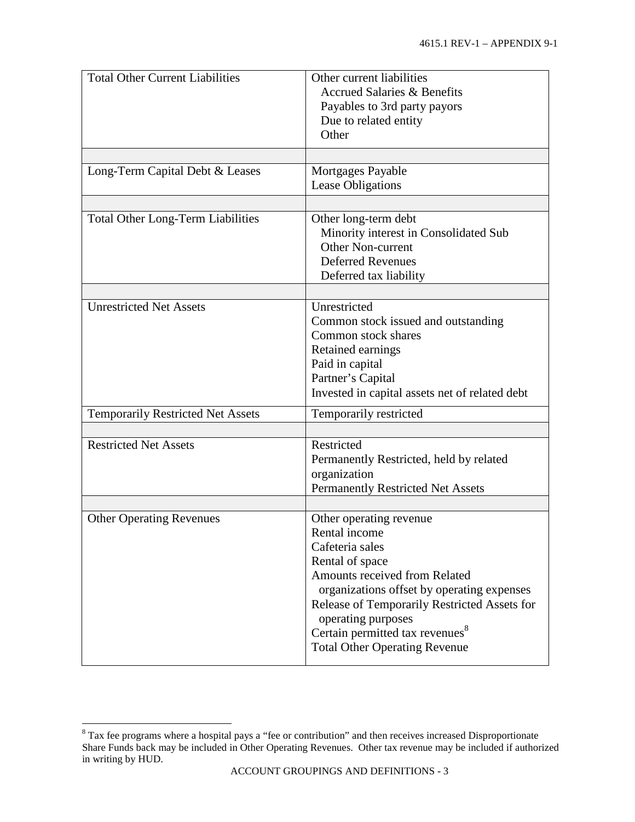| <b>Total Other Current Liabilities</b>   | Other current liabilities<br><b>Accrued Salaries &amp; Benefits</b><br>Payables to 3rd party payors<br>Due to related entity<br>Other                                                                                                                                                                                      |  |  |
|------------------------------------------|----------------------------------------------------------------------------------------------------------------------------------------------------------------------------------------------------------------------------------------------------------------------------------------------------------------------------|--|--|
|                                          |                                                                                                                                                                                                                                                                                                                            |  |  |
| Long-Term Capital Debt & Leases          | Mortgages Payable<br><b>Lease Obligations</b>                                                                                                                                                                                                                                                                              |  |  |
| <b>Total Other Long-Term Liabilities</b> | Other long-term debt<br>Minority interest in Consolidated Sub<br><b>Other Non-current</b><br><b>Deferred Revenues</b><br>Deferred tax liability                                                                                                                                                                            |  |  |
| <b>Unrestricted Net Assets</b>           | Unrestricted<br>Common stock issued and outstanding<br>Common stock shares<br>Retained earnings<br>Paid in capital<br>Partner's Capital<br>Invested in capital assets net of related debt                                                                                                                                  |  |  |
| <b>Temporarily Restricted Net Assets</b> | Temporarily restricted                                                                                                                                                                                                                                                                                                     |  |  |
| <b>Restricted Net Assets</b>             | Restricted<br>Permanently Restricted, held by related<br>organization<br><b>Permanently Restricted Net Assets</b>                                                                                                                                                                                                          |  |  |
| <b>Other Operating Revenues</b>          | Other operating revenue<br>Rental income<br>Cafeteria sales<br>Rental of space<br>Amounts received from Related<br>organizations offset by operating expenses<br>Release of Temporarily Restricted Assets for<br>operating purposes<br>Certain permitted tax revenues <sup>8</sup><br><b>Total Other Operating Revenue</b> |  |  |

<span id="page-5-0"></span> $8$  Tax fee programs where a hospital pays a "fee or contribution" and then receives increased Disproportionate Share Funds back may be included in Other Operating Revenues. Other tax revenue may be included if authorized in writing by HUD.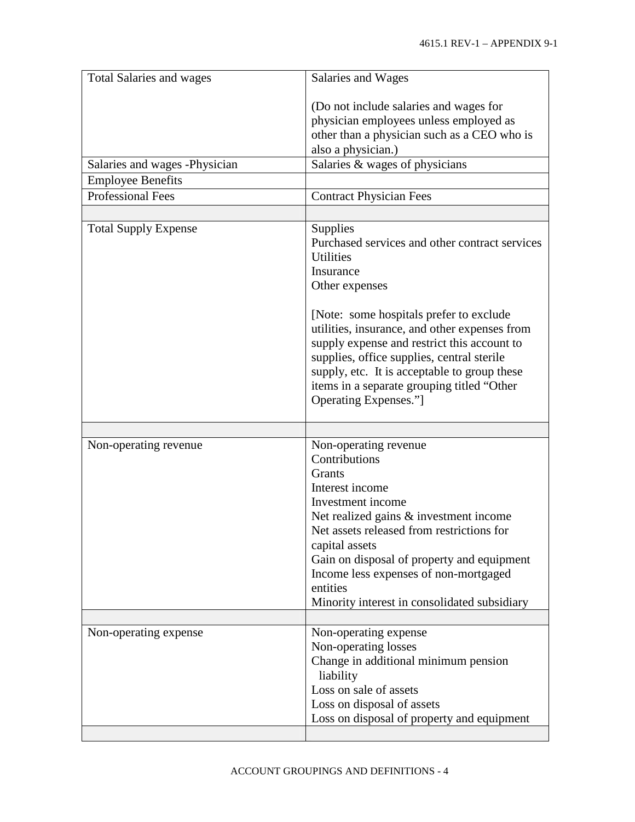| Salaries and Wages                                                                                                                                                                                                                                                                                                                                                                                                             |
|--------------------------------------------------------------------------------------------------------------------------------------------------------------------------------------------------------------------------------------------------------------------------------------------------------------------------------------------------------------------------------------------------------------------------------|
| (Do not include salaries and wages for<br>physician employees unless employed as<br>other than a physician such as a CEO who is<br>also a physician.)<br>Salaries & wages of physicians<br><b>Contract Physician Fees</b>                                                                                                                                                                                                      |
|                                                                                                                                                                                                                                                                                                                                                                                                                                |
| Supplies<br>Purchased services and other contract services<br><b>Utilities</b><br>Insurance<br>Other expenses<br>[Note: some hospitals prefer to exclude]<br>utilities, insurance, and other expenses from<br>supply expense and restrict this account to<br>supplies, office supplies, central sterile<br>supply, etc. It is acceptable to group these<br>items in a separate grouping titled "Other<br>Operating Expenses."] |
|                                                                                                                                                                                                                                                                                                                                                                                                                                |
| Non-operating revenue<br>Contributions<br>Grants<br>Interest income<br>Investment income<br>Net realized gains & investment income<br>Net assets released from restrictions for<br>capital assets<br>Gain on disposal of property and equipment<br>Income less expenses of non-mortgaged<br>entities<br>Minority interest in consolidated subsidiary                                                                           |
| Non-operating expense<br>Non-operating losses<br>Change in additional minimum pension<br>liability<br>Loss on sale of assets<br>Loss on disposal of assets                                                                                                                                                                                                                                                                     |
|                                                                                                                                                                                                                                                                                                                                                                                                                                |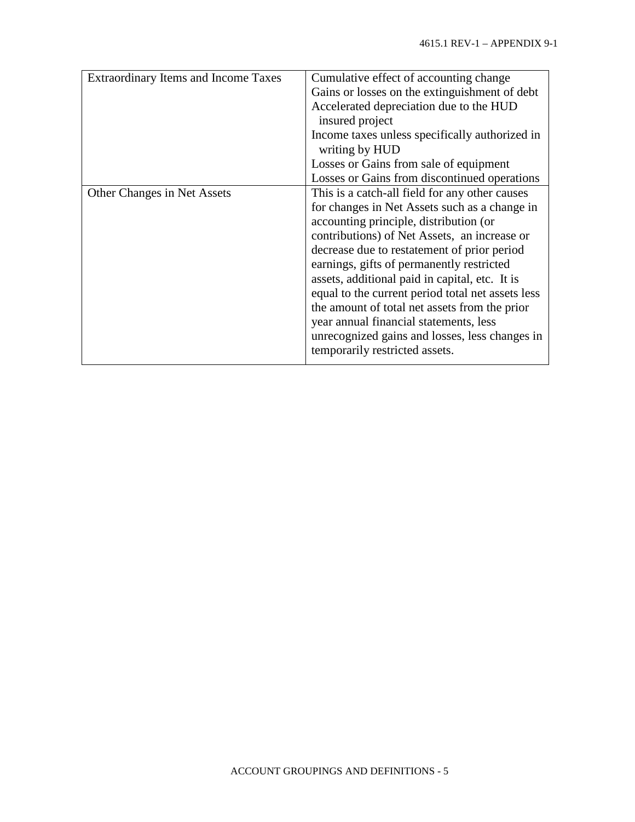| <b>Extraordinary Items and Income Taxes</b> | Cumulative effect of accounting change<br>Gains or losses on the extinguishment of debt<br>Accelerated depreciation due to the HUD<br>insured project<br>Income taxes unless specifically authorized in |
|---------------------------------------------|---------------------------------------------------------------------------------------------------------------------------------------------------------------------------------------------------------|
|                                             | writing by HUD                                                                                                                                                                                          |
|                                             | Losses or Gains from sale of equipment                                                                                                                                                                  |
|                                             | Losses or Gains from discontinued operations                                                                                                                                                            |
| Other Changes in Net Assets                 | This is a catch-all field for any other causes                                                                                                                                                          |
|                                             | for changes in Net Assets such as a change in                                                                                                                                                           |
|                                             | accounting principle, distribution (or                                                                                                                                                                  |
|                                             | contributions) of Net Assets, an increase or                                                                                                                                                            |
|                                             | decrease due to restatement of prior period                                                                                                                                                             |
|                                             | earnings, gifts of permanently restricted                                                                                                                                                               |
|                                             | assets, additional paid in capital, etc. It is                                                                                                                                                          |
|                                             | equal to the current period total net assets less                                                                                                                                                       |
|                                             | the amount of total net assets from the prior                                                                                                                                                           |
|                                             | year annual financial statements, less                                                                                                                                                                  |
|                                             | unrecognized gains and losses, less changes in<br>temporarily restricted assets.                                                                                                                        |
|                                             |                                                                                                                                                                                                         |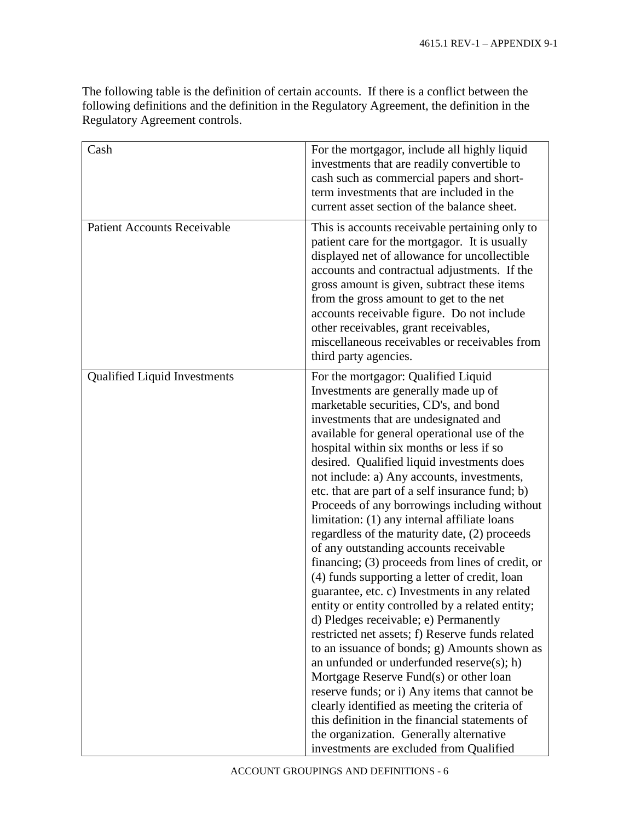The following table is the definition of certain accounts. If there is a conflict between the following definitions and the definition in the Regulatory Agreement, the definition in the Regulatory Agreement controls.

| Cash                                | For the mortgagor, include all highly liquid<br>investments that are readily convertible to<br>cash such as commercial papers and short-<br>term investments that are included in the<br>current asset section of the balance sheet.                                                                                                                                                                                                                                                                                                                                                                                                                                                                                                                                                                                                                                                                                                                                                                                                                                                                                                                                                                                                                                                           |
|-------------------------------------|------------------------------------------------------------------------------------------------------------------------------------------------------------------------------------------------------------------------------------------------------------------------------------------------------------------------------------------------------------------------------------------------------------------------------------------------------------------------------------------------------------------------------------------------------------------------------------------------------------------------------------------------------------------------------------------------------------------------------------------------------------------------------------------------------------------------------------------------------------------------------------------------------------------------------------------------------------------------------------------------------------------------------------------------------------------------------------------------------------------------------------------------------------------------------------------------------------------------------------------------------------------------------------------------|
| <b>Patient Accounts Receivable</b>  | This is accounts receivable pertaining only to<br>patient care for the mortgagor. It is usually<br>displayed net of allowance for uncollectible<br>accounts and contractual adjustments. If the<br>gross amount is given, subtract these items<br>from the gross amount to get to the net<br>accounts receivable figure. Do not include<br>other receivables, grant receivables,<br>miscellaneous receivables or receivables from<br>third party agencies.                                                                                                                                                                                                                                                                                                                                                                                                                                                                                                                                                                                                                                                                                                                                                                                                                                     |
| <b>Qualified Liquid Investments</b> | For the mortgagor: Qualified Liquid<br>Investments are generally made up of<br>marketable securities, CD's, and bond<br>investments that are undesignated and<br>available for general operational use of the<br>hospital within six months or less if so<br>desired. Qualified liquid investments does<br>not include: a) Any accounts, investments,<br>etc. that are part of a self insurance fund; b)<br>Proceeds of any borrowings including without<br>limitation: (1) any internal affiliate loans<br>regardless of the maturity date, (2) proceeds<br>of any outstanding accounts receivable<br>financing; (3) proceeds from lines of credit, or<br>(4) funds supporting a letter of credit, loan<br>guarantee, etc. c) Investments in any related<br>entity or entity controlled by a related entity;<br>d) Pledges receivable; e) Permanently<br>restricted net assets; f) Reserve funds related<br>to an issuance of bonds; g) Amounts shown as<br>an unfunded or underfunded reserve $(s)$ ; h)<br>Mortgage Reserve Fund(s) or other loan<br>reserve funds; or i) Any items that cannot be<br>clearly identified as meeting the criteria of<br>this definition in the financial statements of<br>the organization. Generally alternative<br>investments are excluded from Qualified |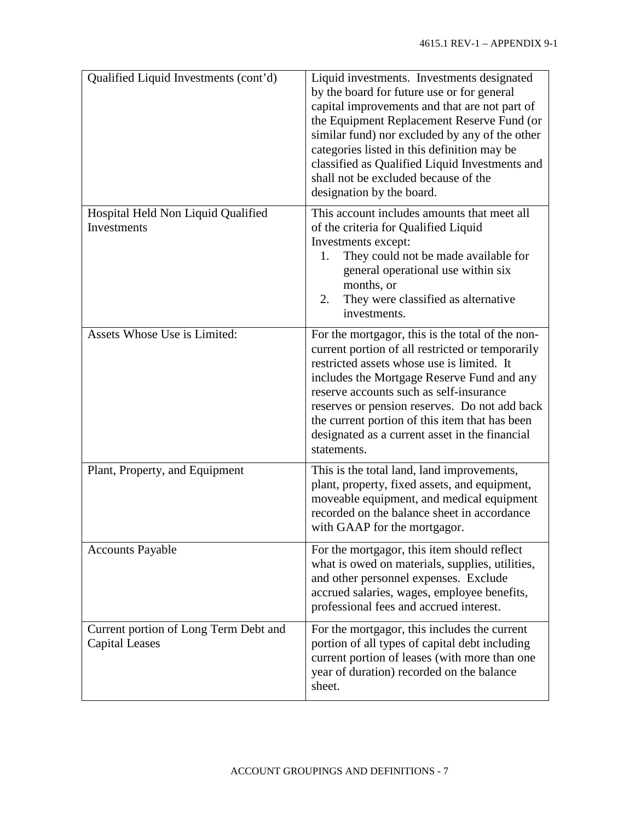| Qualified Liquid Investments (cont'd)                          | Liquid investments. Investments designated<br>by the board for future use or for general<br>capital improvements and that are not part of<br>the Equipment Replacement Reserve Fund (or<br>similar fund) nor excluded by any of the other<br>categories listed in this definition may be<br>classified as Qualified Liquid Investments and<br>shall not be excluded because of the<br>designation by the board. |
|----------------------------------------------------------------|-----------------------------------------------------------------------------------------------------------------------------------------------------------------------------------------------------------------------------------------------------------------------------------------------------------------------------------------------------------------------------------------------------------------|
| Hospital Held Non Liquid Qualified<br>Investments              | This account includes amounts that meet all<br>of the criteria for Qualified Liquid<br>Investments except:<br>They could not be made available for<br>1.<br>general operational use within six<br>months, or<br>They were classified as alternative<br>2.<br>investments.                                                                                                                                       |
| Assets Whose Use is Limited:                                   | For the mortgagor, this is the total of the non-<br>current portion of all restricted or temporarily<br>restricted assets whose use is limited. It<br>includes the Mortgage Reserve Fund and any<br>reserve accounts such as self-insurance<br>reserves or pension reserves. Do not add back<br>the current portion of this item that has been<br>designated as a current asset in the financial<br>statements. |
| Plant, Property, and Equipment                                 | This is the total land, land improvements,<br>plant, property, fixed assets, and equipment,<br>moveable equipment, and medical equipment<br>recorded on the balance sheet in accordance<br>with GAAP for the mortgagor.                                                                                                                                                                                         |
| <b>Accounts Payable</b>                                        | For the mortgagor, this item should reflect<br>what is owed on materials, supplies, utilities,<br>and other personnel expenses. Exclude<br>accrued salaries, wages, employee benefits,<br>professional fees and accrued interest.                                                                                                                                                                               |
| Current portion of Long Term Debt and<br><b>Capital Leases</b> | For the mortgagor, this includes the current<br>portion of all types of capital debt including<br>current portion of leases (with more than one<br>year of duration) recorded on the balance<br>sheet.                                                                                                                                                                                                          |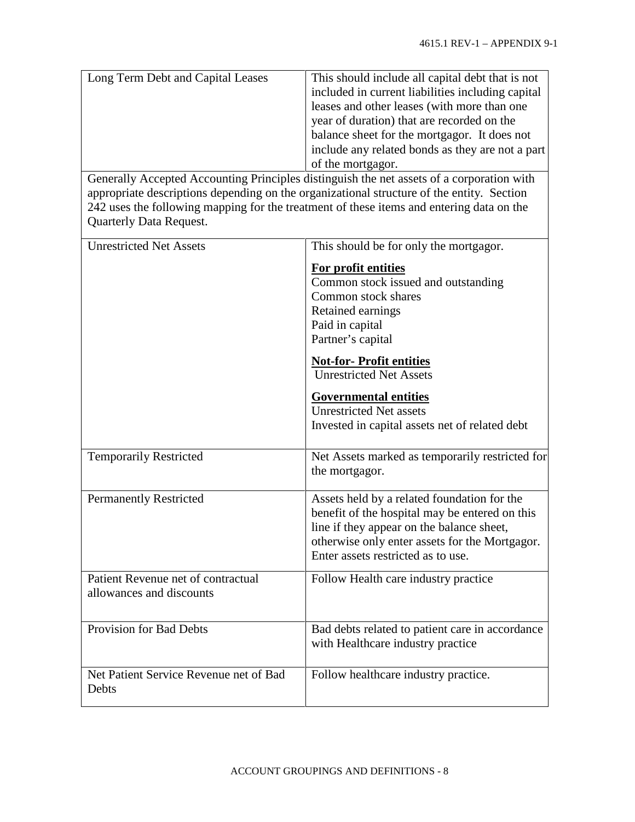| Long Term Debt and Capital Leases<br><b>Quarterly Data Request.</b> | This should include all capital debt that is not<br>included in current liabilities including capital<br>leases and other leases (with more than one<br>year of duration) that are recorded on the<br>balance sheet for the mortgagor. It does not<br>include any related bonds as they are not a part<br>of the mortgagor.<br>Generally Accepted Accounting Principles distinguish the net assets of a corporation with<br>appropriate descriptions depending on the organizational structure of the entity. Section<br>242 uses the following mapping for the treatment of these items and entering data on the |
|---------------------------------------------------------------------|-------------------------------------------------------------------------------------------------------------------------------------------------------------------------------------------------------------------------------------------------------------------------------------------------------------------------------------------------------------------------------------------------------------------------------------------------------------------------------------------------------------------------------------------------------------------------------------------------------------------|
| <b>Unrestricted Net Assets</b>                                      | This should be for only the mortgagor.                                                                                                                                                                                                                                                                                                                                                                                                                                                                                                                                                                            |
|                                                                     | For profit entities<br>Common stock issued and outstanding<br>Common stock shares<br>Retained earnings<br>Paid in capital<br>Partner's capital                                                                                                                                                                                                                                                                                                                                                                                                                                                                    |
|                                                                     | <b>Not-for-Profit entities</b><br><b>Unrestricted Net Assets</b>                                                                                                                                                                                                                                                                                                                                                                                                                                                                                                                                                  |
|                                                                     | <b>Governmental entities</b><br><b>Unrestricted Net assets</b><br>Invested in capital assets net of related debt                                                                                                                                                                                                                                                                                                                                                                                                                                                                                                  |
| <b>Temporarily Restricted</b>                                       | Net Assets marked as temporarily restricted for<br>the mortgagor.                                                                                                                                                                                                                                                                                                                                                                                                                                                                                                                                                 |
| <b>Permanently Restricted</b>                                       | Assets held by a related foundation for the<br>benefit of the hospital may be entered on this<br>line if they appear on the balance sheet,<br>otherwise only enter assets for the Mortgagor.<br>Enter assets restricted as to use.                                                                                                                                                                                                                                                                                                                                                                                |
| Patient Revenue net of contractual<br>allowances and discounts      | Follow Health care industry practice                                                                                                                                                                                                                                                                                                                                                                                                                                                                                                                                                                              |
| <b>Provision for Bad Debts</b>                                      | Bad debts related to patient care in accordance<br>with Healthcare industry practice                                                                                                                                                                                                                                                                                                                                                                                                                                                                                                                              |
| Net Patient Service Revenue net of Bad<br>Debts                     | Follow healthcare industry practice.                                                                                                                                                                                                                                                                                                                                                                                                                                                                                                                                                                              |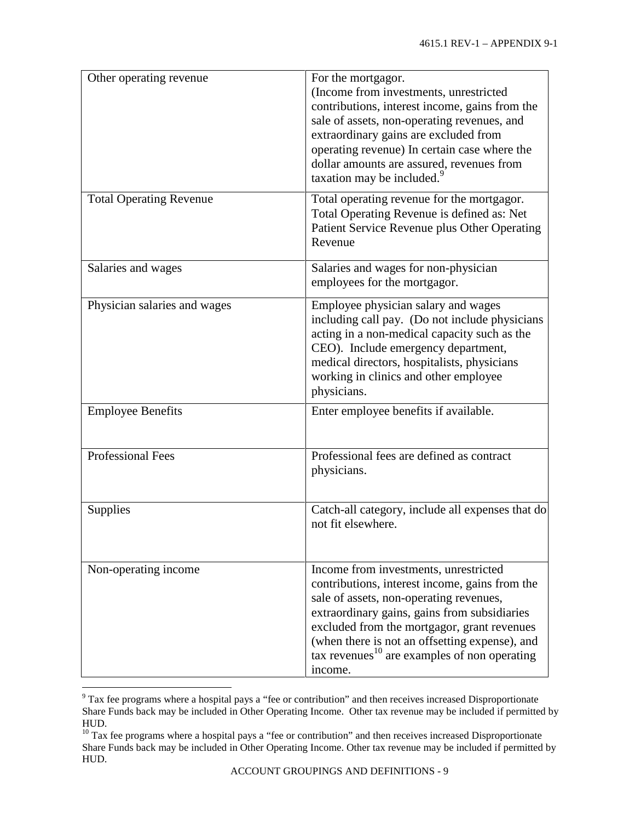| Other operating revenue        | For the mortgagor.<br>(Income from investments, unrestricted<br>contributions, interest income, gains from the<br>sale of assets, non-operating revenues, and<br>extraordinary gains are excluded from<br>operating revenue) In certain case where the<br>dollar amounts are assured, revenues from<br>taxation may be included. <sup>9</sup>              |
|--------------------------------|------------------------------------------------------------------------------------------------------------------------------------------------------------------------------------------------------------------------------------------------------------------------------------------------------------------------------------------------------------|
| <b>Total Operating Revenue</b> | Total operating revenue for the mortgagor.<br>Total Operating Revenue is defined as: Net<br>Patient Service Revenue plus Other Operating<br>Revenue                                                                                                                                                                                                        |
| Salaries and wages             | Salaries and wages for non-physician<br>employees for the mortgagor.                                                                                                                                                                                                                                                                                       |
| Physician salaries and wages   | Employee physician salary and wages<br>including call pay. (Do not include physicians<br>acting in a non-medical capacity such as the<br>CEO). Include emergency department,<br>medical directors, hospitalists, physicians<br>working in clinics and other employee<br>physicians.                                                                        |
| <b>Employee Benefits</b>       | Enter employee benefits if available.                                                                                                                                                                                                                                                                                                                      |
| Professional Fees              | Professional fees are defined as contract<br>physicians.                                                                                                                                                                                                                                                                                                   |
| Supplies                       | Catch-all category, include all expenses that do<br>not fit elsewhere.                                                                                                                                                                                                                                                                                     |
| Non-operating income           | Income from investments, unrestricted<br>contributions, interest income, gains from the<br>sale of assets, non-operating revenues,<br>extraordinary gains, gains from subsidiaries<br>excluded from the mortgagor, grant revenues<br>(when there is not an offsetting expense), and<br>tax revenues <sup>10</sup> are examples of non operating<br>income. |

<span id="page-11-0"></span><sup>&</sup>lt;sup>9</sup> Tax fee programs where a hospital pays a "fee or contribution" and then receives increased Disproportionate Share Funds back may be included in Other Operating Income. Other tax revenue may be included if permitted by HUD.

<span id="page-11-1"></span><sup>&</sup>lt;sup>10</sup> Tax fee programs where a hospital pays a "fee or contribution" and then receives increased Disproportionate Share Funds back may be included in Other Operating Income. Other tax revenue may be included if permitted by HUD.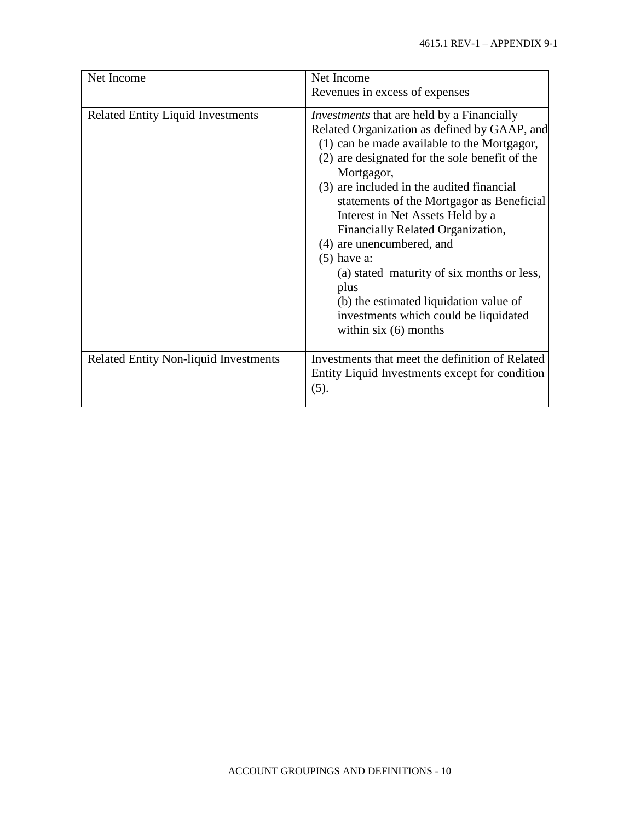| Net Income                                   | Net Income                                                                                                                                                                                                                                                                                                                                                                                                                                                                                                                                                                                           |  |  |  |
|----------------------------------------------|------------------------------------------------------------------------------------------------------------------------------------------------------------------------------------------------------------------------------------------------------------------------------------------------------------------------------------------------------------------------------------------------------------------------------------------------------------------------------------------------------------------------------------------------------------------------------------------------------|--|--|--|
|                                              | Revenues in excess of expenses                                                                                                                                                                                                                                                                                                                                                                                                                                                                                                                                                                       |  |  |  |
| <b>Related Entity Liquid Investments</b>     | <i>Investments</i> that are held by a Financially<br>Related Organization as defined by GAAP, and<br>(1) can be made available to the Mortgagor,<br>(2) are designated for the sole benefit of the<br>Mortgagor,<br>(3) are included in the audited financial<br>statements of the Mortgagor as Beneficial<br>Interest in Net Assets Held by a<br>Financially Related Organization,<br>(4) are unencumbered, and<br>$(5)$ have a:<br>(a) stated maturity of six months or less,<br>plus<br>(b) the estimated liquidation value of<br>investments which could be liquidated<br>within $six(6)$ months |  |  |  |
| <b>Related Entity Non-liquid Investments</b> | Investments that meet the definition of Related<br>Entity Liquid Investments except for condition<br>(5).                                                                                                                                                                                                                                                                                                                                                                                                                                                                                            |  |  |  |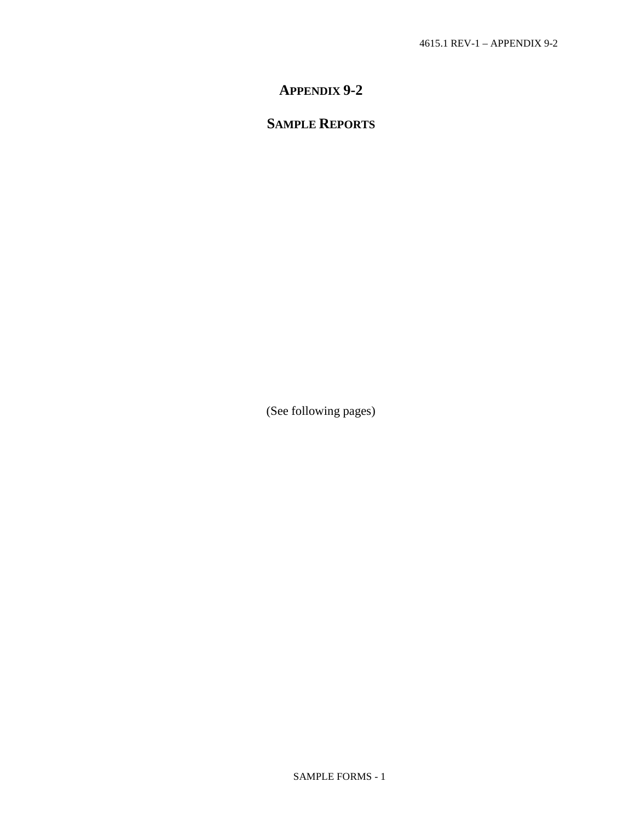# **APPENDIX 9-2**

# **SAMPLE REPORTS**

(See following pages)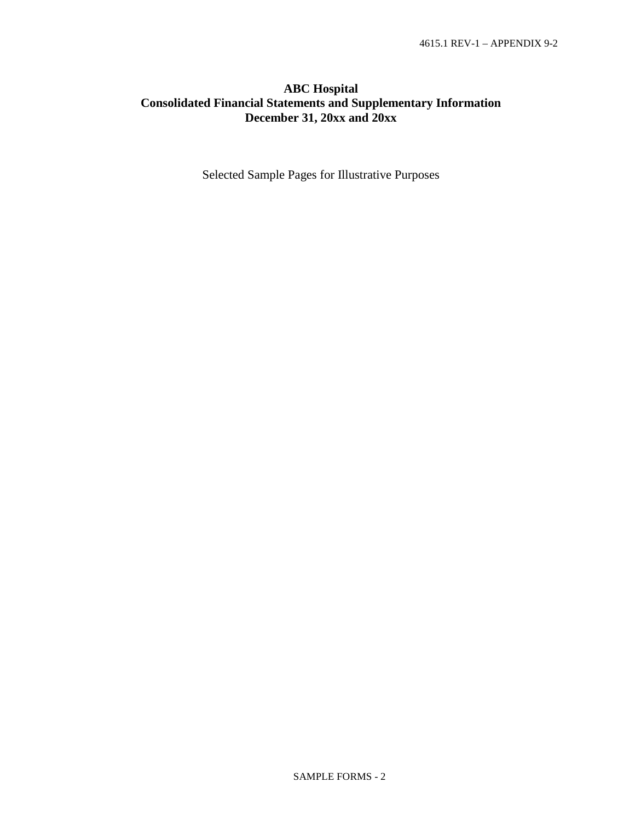# **ABC Hospital Consolidated Financial Statements and Supplementary Information December 31, 20xx and 20xx**

Selected Sample Pages for Illustrative Purposes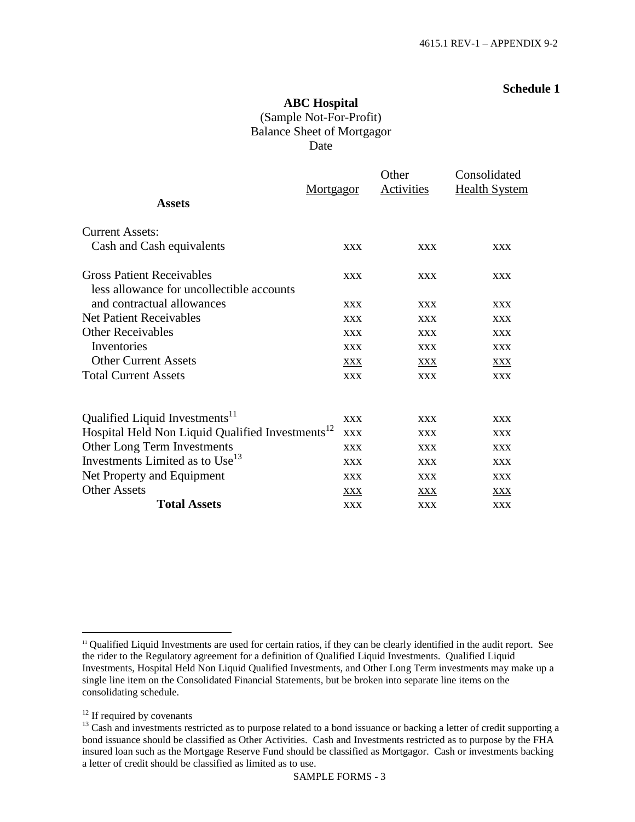## **ABC Hospital** (Sample Not-For-Profit) Balance Sheet of Mortgagor Date

|                                                              | <b>Mortgagor</b> | Other<br><b>Activities</b> | Consolidated<br><b>Health System</b> |
|--------------------------------------------------------------|------------------|----------------------------|--------------------------------------|
| <b>Assets</b>                                                |                  |                            |                                      |
| <b>Current Assets:</b>                                       |                  |                            |                                      |
| Cash and Cash equivalents                                    | <b>XXX</b>       | <b>XXX</b>                 | <b>XXX</b>                           |
| <b>Gross Patient Receivables</b>                             | <b>XXX</b>       | <b>XXX</b>                 | <b>XXX</b>                           |
| less allowance for uncollectible accounts                    |                  |                            |                                      |
| and contractual allowances                                   | <b>XXX</b>       | <b>XXX</b>                 | <b>XXX</b>                           |
| <b>Net Patient Receivables</b>                               | <b>XXX</b>       | <b>XXX</b>                 | <b>XXX</b>                           |
| <b>Other Receivables</b>                                     | <b>XXX</b>       | <b>XXX</b>                 | <b>XXX</b>                           |
| Inventories                                                  | <b>XXX</b>       | <b>XXX</b>                 | <b>XXX</b>                           |
| <b>Other Current Assets</b>                                  | XXX              | XXX                        | XXX                                  |
| <b>Total Current Assets</b>                                  | <b>XXX</b>       | <b>XXX</b>                 | <b>XXX</b>                           |
| Qualified Liquid Investments <sup>11</sup>                   | <b>XXX</b>       | <b>XXX</b>                 | <b>XXX</b>                           |
| Hospital Held Non Liquid Qualified Investments <sup>12</sup> | <b>XXX</b>       | <b>XXX</b>                 | <b>XXX</b>                           |
| Other Long Term Investments                                  | <b>XXX</b>       | <b>XXX</b>                 | <b>XXX</b>                           |
| Investments Limited as to Use <sup>13</sup>                  | <b>XXX</b>       | <b>XXX</b>                 | <b>XXX</b>                           |
| Net Property and Equipment                                   | <b>XXX</b>       | <b>XXX</b>                 | <b>XXX</b>                           |
| <b>Other Assets</b>                                          | XXX              | XXX                        | XXX                                  |
| <b>Total Assets</b>                                          | <b>XXX</b>       | <b>XXX</b>                 | <b>XXX</b>                           |

<span id="page-15-0"></span><sup>&</sup>lt;sup>11</sup> Qualified Liquid Investments are used for certain ratios, if they can be clearly identified in the audit report. See the rider to the Regulatory agreement for a definition of Qualified Liquid Investments. Qualified Liquid Investments, Hospital Held Non Liquid Qualified Investments, and Other Long Term investments may make up a single line item on the Consolidated Financial Statements, but be broken into separate line items on the consolidating schedule.

<span id="page-15-1"></span><sup>&</sup>lt;sup>12</sup> If required by covenants

<span id="page-15-2"></span><sup>&</sup>lt;sup>13</sup> Cash and investments restricted as to purpose related to a bond issuance or backing a letter of credit supporting a bond issuance should be classified as Other Activities. Cash and Investments restricted as to purpose by the FHA insured loan such as the Mortgage Reserve Fund should be classified as Mortgagor. Cash or investments backing a letter of credit should be classified as limited as to use.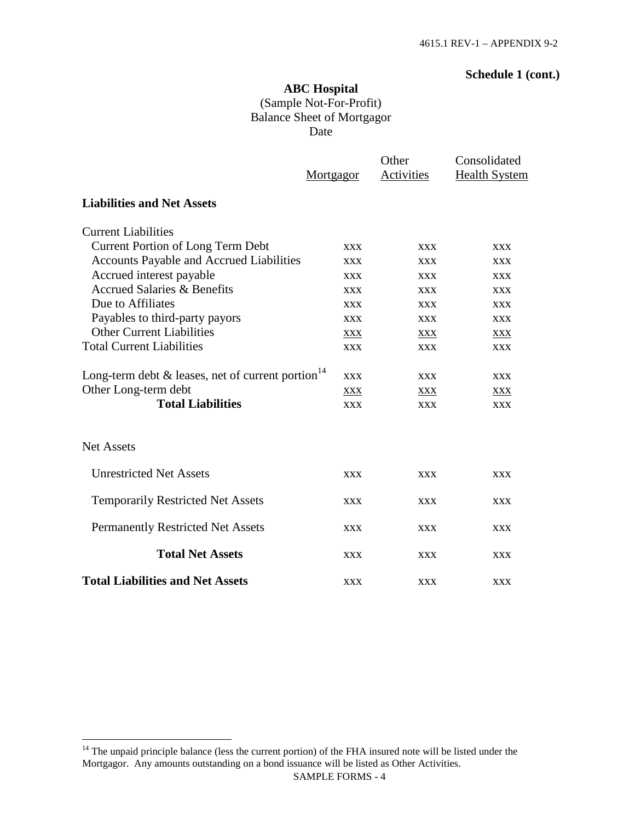## **Schedule 1 (cont.)**

# **ABC Hospital** (Sample Not-For-Profit) Balance Sheet of Mortgagor Date

|                                                                  | Mortgagor  | Other<br>Activities | Consolidated<br><b>Health System</b> |
|------------------------------------------------------------------|------------|---------------------|--------------------------------------|
| <b>Liabilities and Net Assets</b>                                |            |                     |                                      |
| <b>Current Liabilities</b>                                       |            |                     |                                      |
| <b>Current Portion of Long Term Debt</b>                         | <b>XXX</b> | <b>XXX</b>          | <b>XXX</b>                           |
| <b>Accounts Payable and Accrued Liabilities</b>                  | <b>XXX</b> | <b>XXX</b>          | <b>XXX</b>                           |
| Accrued interest payable                                         | <b>XXX</b> | <b>XXX</b>          | <b>XXX</b>                           |
| <b>Accrued Salaries &amp; Benefits</b>                           | <b>XXX</b> | <b>XXX</b>          | <b>XXX</b>                           |
| Due to Affiliates                                                | <b>XXX</b> | <b>XXX</b>          | <b>XXX</b>                           |
| Payables to third-party payors                                   | <b>XXX</b> | <b>XXX</b>          | <b>XXX</b>                           |
| <b>Other Current Liabilities</b>                                 | XXX        | XXX                 | <b>XXX</b>                           |
| <b>Total Current Liabilities</b>                                 | <b>XXX</b> | <b>XXX</b>          | <b>XXX</b>                           |
| Long-term debt $\&$ leases, net of current portion <sup>14</sup> | <b>XXX</b> | <b>XXX</b>          | <b>XXX</b>                           |
| Other Long-term debt                                             | XXX        | XXX                 | <b>XXX</b>                           |
| <b>Total Liabilities</b>                                         | <b>XXX</b> | <b>XXX</b>          | <b>XXX</b>                           |
| <b>Net Assets</b>                                                |            |                     |                                      |
| <b>Unrestricted Net Assets</b>                                   | <b>XXX</b> | <b>XXX</b>          | <b>XXX</b>                           |
| <b>Temporarily Restricted Net Assets</b>                         | <b>XXX</b> | <b>XXX</b>          | <b>XXX</b>                           |
| <b>Permanently Restricted Net Assets</b>                         | <b>XXX</b> | <b>XXX</b>          | <b>XXX</b>                           |
| <b>Total Net Assets</b>                                          | <b>XXX</b> | <b>XXX</b>          | <b>XXX</b>                           |
| <b>Total Liabilities and Net Assets</b>                          | <b>XXX</b> | <b>XXX</b>          | <b>XXX</b>                           |

<span id="page-16-0"></span><sup>&</sup>lt;sup>14</sup> The unpaid principle balance (less the current portion) of the FHA insured note will be listed under the Mortgagor. Any amounts outstanding on a bond issuance will be listed as Other Activities.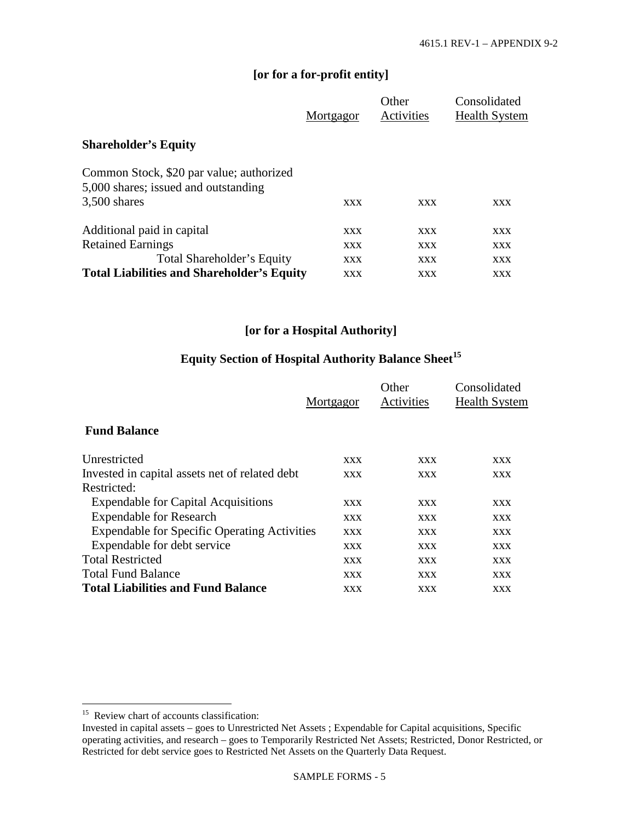## **[or for a for-profit entity]**

|                                                                                  | Mortgagor  | Other<br>Activities | Consolidated<br><b>Health System</b> |
|----------------------------------------------------------------------------------|------------|---------------------|--------------------------------------|
| <b>Shareholder's Equity</b>                                                      |            |                     |                                      |
| Common Stock, \$20 par value; authorized<br>5,000 shares; issued and outstanding |            |                     |                                      |
| $3,500$ shares                                                                   | XXX        | XXX                 | XXX                                  |
| Additional paid in capital                                                       | XXX        | XXX                 | XXX                                  |
| <b>Retained Earnings</b>                                                         | <b>XXX</b> | XXX                 | <b>XXX</b>                           |
| Total Shareholder's Equity                                                       | XXX        | XXX                 | <b>XXX</b>                           |
| <b>Total Liabilities and Shareholder's Equity</b>                                | XXX        | XXX                 | XXX                                  |

## **[or for a Hospital Authority]**

# **Equity Section of Hospital Authority Balance Sheet[15](#page-17-0)**

|                                                     | Mortgagor  | Other<br>Activities | Consolidated<br><b>Health System</b> |
|-----------------------------------------------------|------------|---------------------|--------------------------------------|
| <b>Fund Balance</b>                                 |            |                     |                                      |
| Unrestricted                                        | XXX        | <b>XXX</b>          | XXX                                  |
| Invested in capital assets net of related debt      | XXX        | <b>XXX</b>          | <b>XXX</b>                           |
| Restricted:                                         |            |                     |                                      |
| <b>Expendable for Capital Acquisitions</b>          | <b>XXX</b> | <b>XXX</b>          | <b>XXX</b>                           |
| <b>Expendable for Research</b>                      | <b>XXX</b> | <b>XXX</b>          | <b>XXX</b>                           |
| <b>Expendable for Specific Operating Activities</b> | <b>XXX</b> | <b>XXX</b>          | <b>XXX</b>                           |
| Expendable for debt service                         | <b>XXX</b> | <b>XXX</b>          | <b>XXX</b>                           |
| <b>Total Restricted</b>                             | <b>XXX</b> | <b>XXX</b>          | <b>XXX</b>                           |
| <b>Total Fund Balance</b>                           | XXX        | <b>XXX</b>          | <b>XXX</b>                           |
| <b>Total Liabilities and Fund Balance</b>           | XXX        | XXX                 | XXX                                  |

<span id="page-17-0"></span><sup>&</sup>lt;sup>15</sup> Review chart of accounts classification:

Invested in capital assets – goes to Unrestricted Net Assets ; Expendable for Capital acquisitions, Specific operating activities, and research – goes to Temporarily Restricted Net Assets; Restricted, Donor Restricted, or Restricted for debt service goes to Restricted Net Assets on the Quarterly Data Request.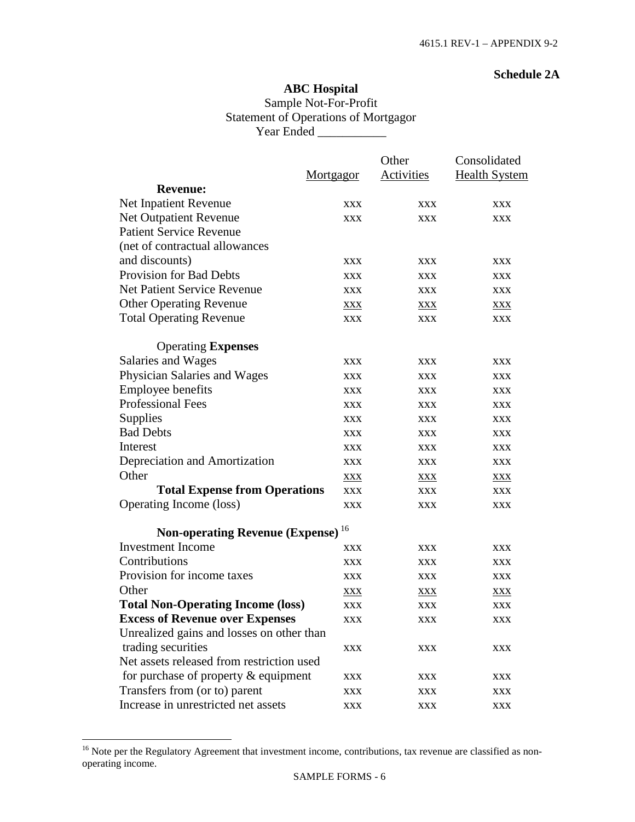#### **Schedule 2A**

## **ABC Hospital** Sample Not-For-Profit Statement of Operations of Mortgagor Year Ended \_\_\_\_\_\_\_\_\_\_\_

|                                               |            | Other      | Consolidated         |
|-----------------------------------------------|------------|------------|----------------------|
|                                               | Mortgagor  | Activities | <b>Health System</b> |
| <b>Revenue:</b>                               |            |            |                      |
| Net Inpatient Revenue                         | XXX        | XXX        | XXX                  |
| <b>Net Outpatient Revenue</b>                 | <b>XXX</b> | <b>XXX</b> | <b>XXX</b>           |
| <b>Patient Service Revenue</b>                |            |            |                      |
| (net of contractual allowances                |            |            |                      |
| and discounts)                                | <b>XXX</b> | <b>XXX</b> | XXX                  |
| <b>Provision for Bad Debts</b>                | <b>XXX</b> | <b>XXX</b> | XXX                  |
| <b>Net Patient Service Revenue</b>            | <b>XXX</b> | <b>XXX</b> | <b>XXX</b>           |
| <b>Other Operating Revenue</b>                | <b>XXX</b> | XXX        | <b>XXX</b>           |
| <b>Total Operating Revenue</b>                | <b>XXX</b> | <b>XXX</b> | <b>XXX</b>           |
| <b>Operating Expenses</b>                     |            |            |                      |
| Salaries and Wages                            | <b>XXX</b> | XXX        | XXX                  |
| Physician Salaries and Wages                  | <b>XXX</b> | XXX        | XXX                  |
| Employee benefits                             | <b>XXX</b> | <b>XXX</b> | <b>XXX</b>           |
| <b>Professional Fees</b>                      | <b>XXX</b> | <b>XXX</b> | <b>XXX</b>           |
| Supplies                                      | <b>XXX</b> | <b>XXX</b> | XXX                  |
| <b>Bad Debts</b>                              | <b>XXX</b> | <b>XXX</b> | <b>XXX</b>           |
| Interest                                      | XXX        | <b>XXX</b> | XXX                  |
| Depreciation and Amortization                 | <b>XXX</b> | XXX        | <b>XXX</b>           |
| Other                                         | <b>XXX</b> | <b>XXX</b> | <b>XXX</b>           |
| <b>Total Expense from Operations</b>          | <b>XXX</b> | <b>XXX</b> | <b>XXX</b>           |
| Operating Income (loss)                       | <b>XXX</b> | <b>XXX</b> | <b>XXX</b>           |
| Non-operating Revenue (Expense) <sup>16</sup> |            |            |                      |
| <b>Investment Income</b>                      | XXX        | <b>XXX</b> | XXX                  |
| Contributions                                 | XXX        | XXX        | XXX                  |
| Provision for income taxes                    | <b>XXX</b> | XXX        | <b>XXX</b>           |
| Other                                         | XXX        | XXX        | XXX                  |
| <b>Total Non-Operating Income (loss)</b>      | <b>XXX</b> | <b>XXX</b> | <b>XXX</b>           |
| <b>Excess of Revenue over Expenses</b>        | <b>XXX</b> | XXX        | XXX                  |
| Unrealized gains and losses on other than     |            |            |                      |
| trading securities                            | <b>XXX</b> | <b>XXX</b> | <b>XXX</b>           |
| Net assets released from restriction used     |            |            |                      |
| for purchase of property $&$ equipment        | <b>XXX</b> | <b>XXX</b> | <b>XXX</b>           |
| Transfers from (or to) parent                 | <b>XXX</b> | XXX        | <b>XXX</b>           |
| Increase in unrestricted net assets           | <b>XXX</b> | <b>XXX</b> | XXX                  |

<span id="page-18-0"></span><sup>&</sup>lt;sup>16</sup> Note per the Regulatory Agreement that investment income, contributions, tax revenue are classified as nonoperating income.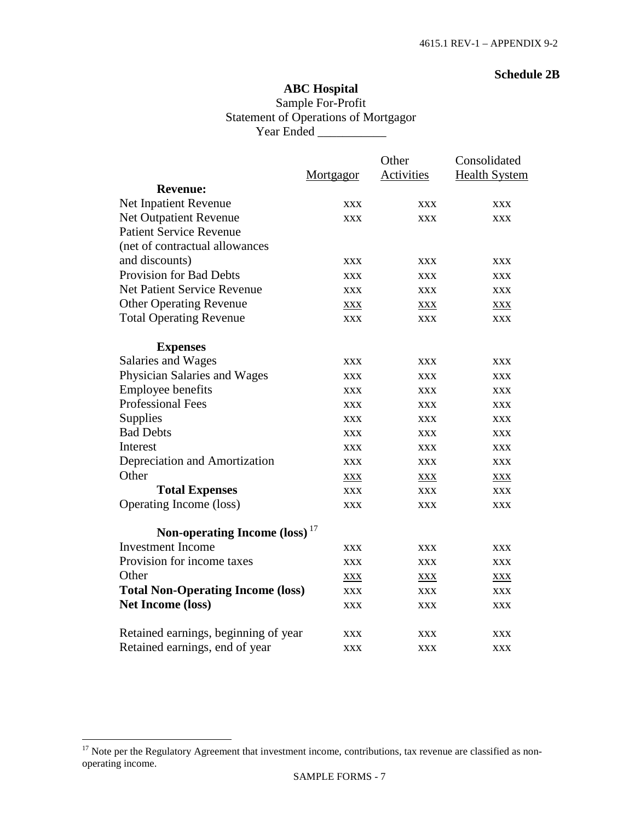#### **Schedule 2B**

## **ABC Hospital** Sample For-Profit Statement of Operations of Mortgagor Year Ended \_\_\_\_\_\_\_\_\_\_\_

|                                           |            | Other      | Consolidated         |
|-------------------------------------------|------------|------------|----------------------|
|                                           | Mortgagor  | Activities | <b>Health System</b> |
| <b>Revenue:</b>                           |            |            |                      |
| Net Inpatient Revenue                     | <b>XXX</b> | <b>XXX</b> | <b>XXX</b>           |
| Net Outpatient Revenue                    | <b>XXX</b> | <b>XXX</b> | <b>XXX</b>           |
| <b>Patient Service Revenue</b>            |            |            |                      |
| (net of contractual allowances            |            |            |                      |
| and discounts)                            | <b>XXX</b> | <b>XXX</b> | <b>XXX</b>           |
| <b>Provision for Bad Debts</b>            | <b>XXX</b> | XXX        | <b>XXX</b>           |
| <b>Net Patient Service Revenue</b>        | <b>XXX</b> | <b>XXX</b> | <b>XXX</b>           |
| <b>Other Operating Revenue</b>            | <b>XXX</b> | <u>XXX</u> | <b>XXX</b>           |
| <b>Total Operating Revenue</b>            | <b>XXX</b> | <b>XXX</b> | <b>XXX</b>           |
| <b>Expenses</b>                           |            |            |                      |
| Salaries and Wages                        | <b>XXX</b> | <b>XXX</b> | <b>XXX</b>           |
| Physician Salaries and Wages              | <b>XXX</b> | <b>XXX</b> | <b>XXX</b>           |
| <b>Employee benefits</b>                  | <b>XXX</b> | <b>XXX</b> | <b>XXX</b>           |
| <b>Professional Fees</b>                  | <b>XXX</b> | <b>XXX</b> | <b>XXX</b>           |
| Supplies                                  | <b>XXX</b> | <b>XXX</b> | <b>XXX</b>           |
| <b>Bad Debts</b>                          | <b>XXX</b> | <b>XXX</b> | <b>XXX</b>           |
| Interest                                  | <b>XXX</b> | <b>XXX</b> | <b>XXX</b>           |
| Depreciation and Amortization             | <b>XXX</b> | <b>XXX</b> | <b>XXX</b>           |
| Other                                     | XXX        | XXX        | XXX                  |
| <b>Total Expenses</b>                     | <b>XXX</b> | <b>XXX</b> | <b>XXX</b>           |
| Operating Income (loss)                   | <b>XXX</b> | <b>XXX</b> | <b>XXX</b>           |
| Non-operating Income (loss) <sup>17</sup> |            |            |                      |
| <b>Investment Income</b>                  | <b>XXX</b> | <b>XXX</b> | <b>XXX</b>           |
| Provision for income taxes                | <b>XXX</b> | <b>XXX</b> | <b>XXX</b>           |
| Other                                     | XXX        | XXX        | XXX                  |
| <b>Total Non-Operating Income (loss)</b>  | <b>XXX</b> | <b>XXX</b> | <b>XXX</b>           |
| <b>Net Income (loss)</b>                  | <b>XXX</b> | <b>XXX</b> | <b>XXX</b>           |
| Retained earnings, beginning of year      | <b>XXX</b> | <b>XXX</b> | <b>XXX</b>           |
| Retained earnings, end of year            | <b>XXX</b> | <b>XXX</b> | XXX                  |

<span id="page-19-0"></span> $17$  Note per the Regulatory Agreement that investment income, contributions, tax revenue are classified as nonoperating income.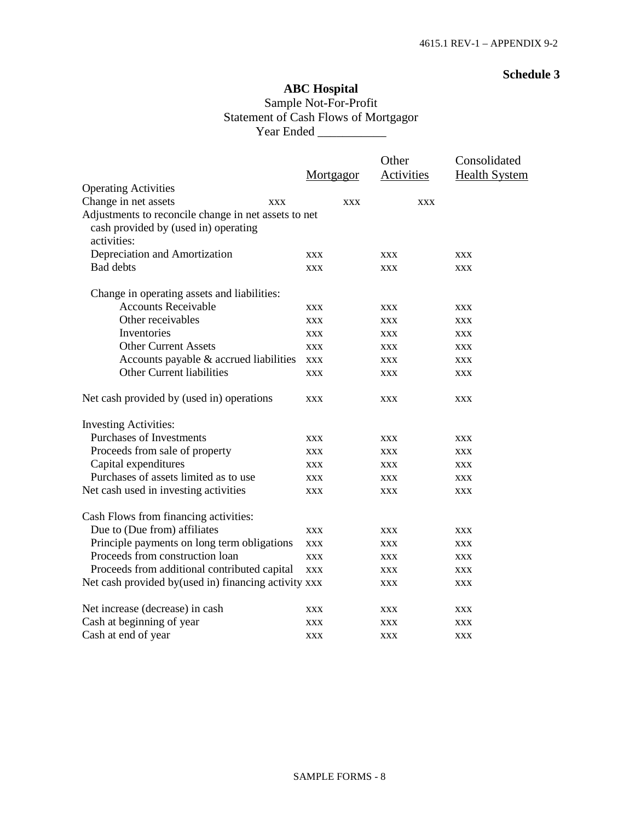## **ABC Hospital** Sample Not-For-Profit Statement of Cash Flows of Mortgagor Year Ended \_\_\_\_\_\_\_\_\_\_\_

|                                                       |            | Other      | Consolidated         |
|-------------------------------------------------------|------------|------------|----------------------|
|                                                       | Mortgagor  | Activities | <b>Health System</b> |
| <b>Operating Activities</b>                           |            |            |                      |
| Change in net assets<br><b>XXX</b>                    | <b>XXX</b> | <b>XXX</b> |                      |
| Adjustments to reconcile change in net assets to net  |            |            |                      |
| cash provided by (used in) operating<br>activities:   |            |            |                      |
| Depreciation and Amortization                         | <b>XXX</b> | <b>XXX</b> | <b>XXX</b>           |
| <b>Bad debts</b>                                      | <b>XXX</b> | <b>XXX</b> | <b>XXX</b>           |
| Change in operating assets and liabilities:           |            |            |                      |
| <b>Accounts Receivable</b>                            | <b>XXX</b> | <b>XXX</b> | <b>XXX</b>           |
| Other receivables                                     | <b>XXX</b> | <b>XXX</b> | <b>XXX</b>           |
| Inventories                                           | <b>XXX</b> | <b>XXX</b> | <b>XXX</b>           |
| <b>Other Current Assets</b>                           | <b>XXX</b> | <b>XXX</b> | <b>XXX</b>           |
| Accounts payable & accrued liabilities                | <b>XXX</b> | <b>XXX</b> | XXX                  |
| Other Current liabilities                             | <b>XXX</b> | <b>XXX</b> | <b>XXX</b>           |
| Net cash provided by (used in) operations             | <b>XXX</b> | <b>XXX</b> | <b>XXX</b>           |
| <b>Investing Activities:</b>                          |            |            |                      |
| <b>Purchases of Investments</b>                       | <b>XXX</b> | <b>XXX</b> | <b>XXX</b>           |
| Proceeds from sale of property                        | <b>XXX</b> | <b>XXX</b> | <b>XXX</b>           |
| Capital expenditures                                  | <b>XXX</b> | <b>XXX</b> | <b>XXX</b>           |
| Purchases of assets limited as to use                 | <b>XXX</b> | <b>XXX</b> | <b>XXX</b>           |
| Net cash used in investing activities                 | <b>XXX</b> | <b>XXX</b> | <b>XXX</b>           |
| Cash Flows from financing activities:                 |            |            |                      |
| Due to (Due from) affiliates                          | <b>XXX</b> | <b>XXX</b> | <b>XXX</b>           |
| Principle payments on long term obligations           | <b>XXX</b> | <b>XXX</b> | <b>XXX</b>           |
| Proceeds from construction loan                       | <b>XXX</b> | <b>XXX</b> | <b>XXX</b>           |
| Proceeds from additional contributed capital          | <b>XXX</b> | <b>XXX</b> | <b>XXX</b>           |
| Net cash provided by (used in) financing activity xxx |            | <b>XXX</b> | <b>XXX</b>           |
| Net increase (decrease) in cash                       | <b>XXX</b> | <b>XXX</b> | <b>XXX</b>           |
| Cash at beginning of year                             | <b>XXX</b> | <b>XXX</b> | <b>XXX</b>           |
| Cash at end of year                                   | <b>XXX</b> | XXX        | XXX                  |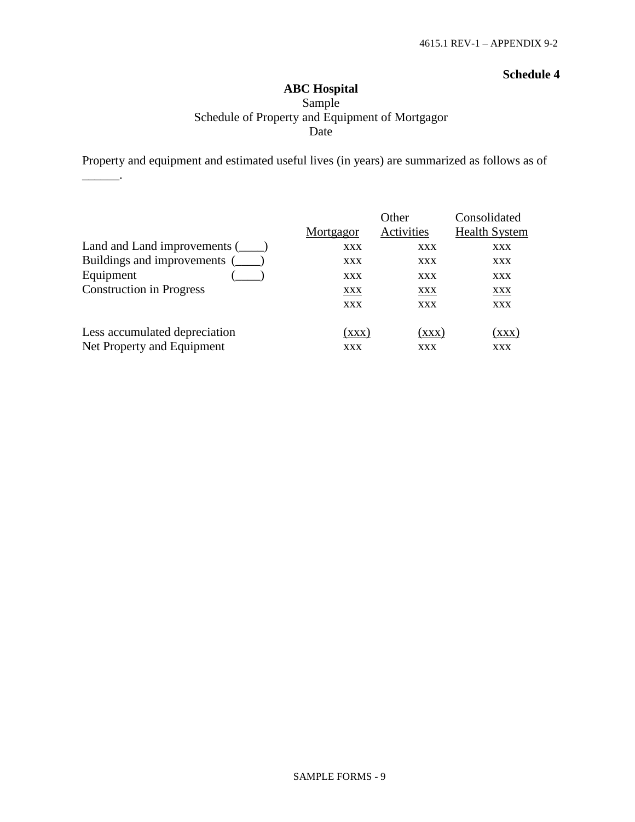### **ABC Hospital** Sample Schedule of Property and Equipment of Mortgagor Date

Property and equipment and estimated useful lives (in years) are summarized as follows as of

 $\overline{\phantom{a}}$ 

|                                 | Mortgagor  | Other<br>Activities | Consolidated<br><b>Health System</b> |
|---------------------------------|------------|---------------------|--------------------------------------|
| Land and Land improvements (    | <b>XXX</b> | <b>XXX</b>          | XXX                                  |
| Buildings and improvements (    | <b>XXX</b> | <b>XXX</b>          | <b>XXX</b>                           |
| Equipment                       | <b>XXX</b> | XXX                 | <b>XXX</b>                           |
| <b>Construction in Progress</b> | XXX        | <u>XXX</u>          | <u>XXX</u>                           |
|                                 | <b>XXX</b> | <b>XXX</b>          | <b>XXX</b>                           |
| Less accumulated depreciation   | (XXX)      | (XXX)               | (xxx)                                |
| Net Property and Equipment      | <b>XXX</b> | <b>XXX</b>          | XXX                                  |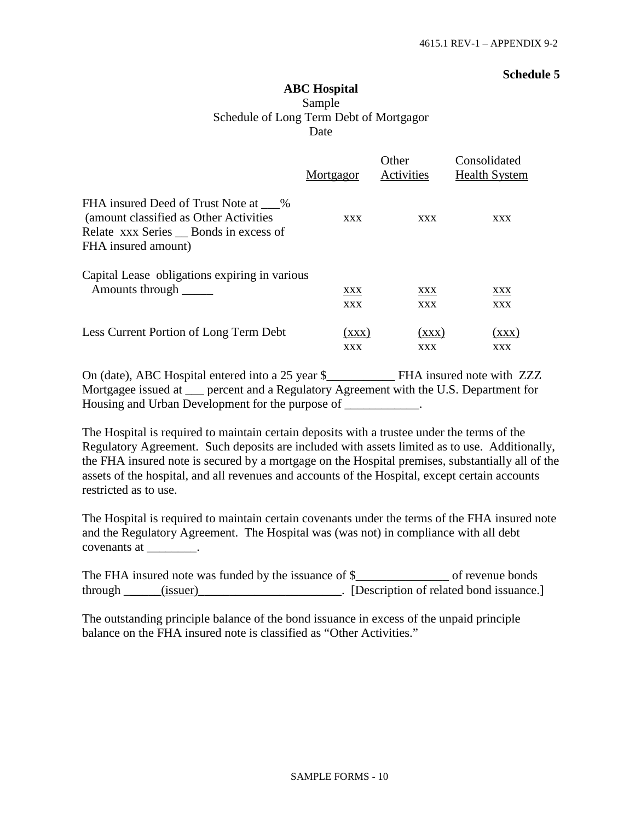## **ABC Hospital** Sample Schedule of Long Term Debt of Mortgagor Date

|                                                                                                                                               | Mortgagor  | Other<br>Activities | Consolidated<br><b>Health System</b> |
|-----------------------------------------------------------------------------------------------------------------------------------------------|------------|---------------------|--------------------------------------|
| FHA insured Deed of Trust Note at %<br>(amount classified as Other Activities)<br>Relate xxx Series Ronds in excess of<br>FHA insured amount) | <b>XXX</b> | <b>XXX</b>          | XXX                                  |
| Capital Lease obligations expiring in various                                                                                                 | XXX        | XXX                 | XXX                                  |
| Amounts through                                                                                                                               | <b>XXX</b> | <b>XXX</b>          | <b>XXX</b>                           |
| Less Current Portion of Long Term Debt                                                                                                        | (xxx)      | (XXX)               | (xxx)                                |
|                                                                                                                                               | <b>XXX</b> | <b>XXX</b>          | <b>XXX</b>                           |

On (date), ABC Hospital entered into a 25 year \$\_\_\_\_\_\_\_\_\_\_\_ FHA insured note with ZZZ Mortgagee issued at \_\_\_ percent and a Regulatory Agreement with the U.S. Department for Housing and Urban Development for the purpose of \_\_\_\_\_\_\_\_\_\_\_.

The Hospital is required to maintain certain deposits with a trustee under the terms of the Regulatory Agreement. Such deposits are included with assets limited as to use. Additionally, the FHA insured note is secured by a mortgage on the Hospital premises, substantially all of the assets of the hospital, and all revenues and accounts of the Hospital, except certain accounts restricted as to use.

The Hospital is required to maintain certain covenants under the terms of the FHA insured note and the Regulatory Agreement. The Hospital was (was not) in compliance with all debt covenants at  $\qquad \qquad$ .

The FHA insured note was funded by the issuance of \$\_\_\_\_\_\_\_\_\_\_\_\_\_\_\_\_\_\_\_\_\_\_ of revenue bonds through \_\_\_\_\_(issuer)\_\_\_\_\_\_\_\_\_\_\_\_\_\_\_\_\_\_\_\_\_. [Description of related bond issuance.]

The outstanding principle balance of the bond issuance in excess of the unpaid principle balance on the FHA insured note is classified as "Other Activities."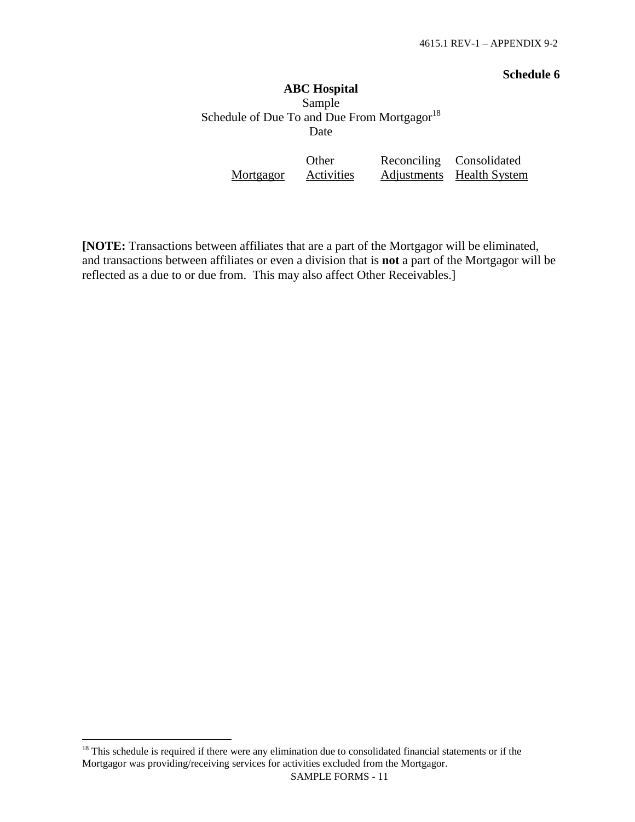# **ABC Hospital** Sample Schedule of Due To and Due From Mortgagor $^{18}$  $^{18}$  $^{18}$ Date

|           | <b>Other</b>      | Reconciling Consolidated  |
|-----------|-------------------|---------------------------|
| Mortgagor | <b>Activities</b> | Adjustments Health System |

**[NOTE:** Transactions between affiliates that are a part of the Mortgagor will be eliminated, and transactions between affiliates or even a division that is **not** a part of the Mortgagor will be reflected as a due to or due from. This may also affect Other Receivables.]

<span id="page-23-0"></span><sup>&</sup>lt;sup>18</sup> This schedule is required if there were any elimination due to consolidated financial statements or if the Mortgagor was providing/receiving services for activities excluded from the Mortgagor.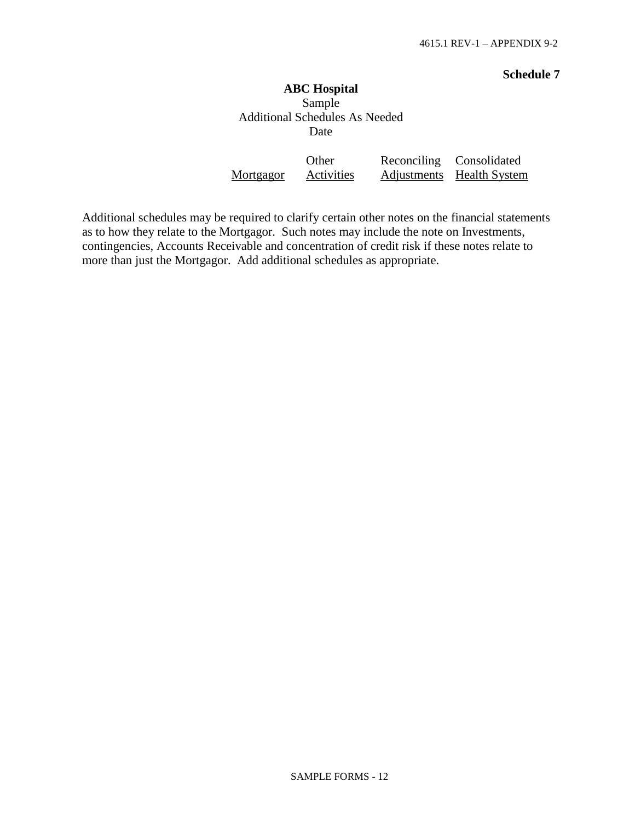# **ABC Hospital** Sample Additional Schedules As Needed Date

|           | Other      | Reconciling Consolidated  |
|-----------|------------|---------------------------|
| Mortgagor | Activities | Adjustments Health System |

Additional schedules may be required to clarify certain other notes on the financial statements as to how they relate to the Mortgagor. Such notes may include the note on Investments, contingencies, Accounts Receivable and concentration of credit risk if these notes relate to more than just the Mortgagor. Add additional schedules as appropriate.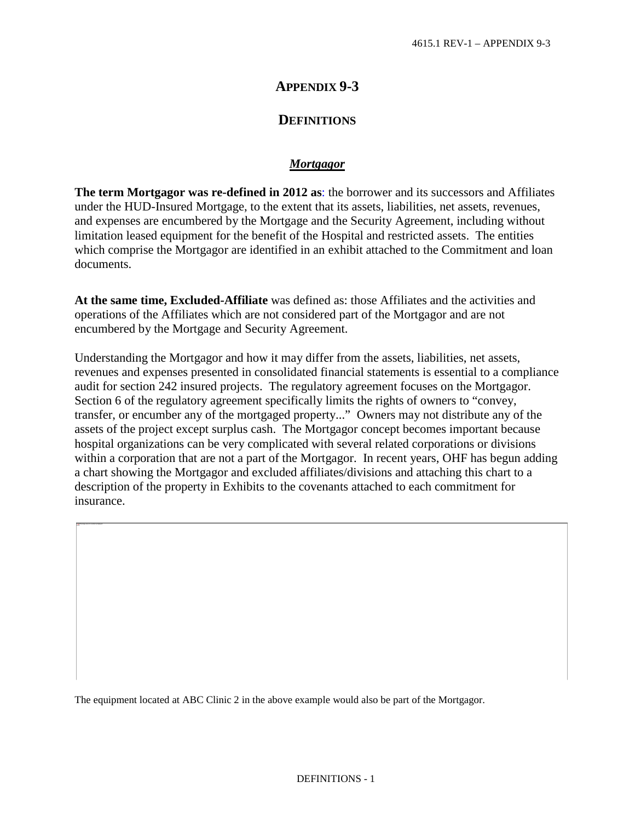# **APPENDIX 9-3**

## **DEFINITIONS**

#### *Mortgagor*

**The term Mortgagor was re-defined in 2012 as**: the borrower and its successors and Affiliates under the HUD-Insured Mortgage, to the extent that its assets, liabilities, net assets, revenues, and expenses are encumbered by the Mortgage and the Security Agreement, including without limitation leased equipment for the benefit of the Hospital and restricted assets. The entities which comprise the Mortgagor are identified in an exhibit attached to the Commitment and loan documents.

**At the same time, Excluded-Affiliate** was defined as: those Affiliates and the activities and operations of the Affiliates which are not considered part of the Mortgagor and are not encumbered by the Mortgage and Security Agreement.

Understanding the Mortgagor and how it may differ from the assets, liabilities, net assets, revenues and expenses presented in consolidated financial statements is essential to a compliance audit for section 242 insured projects. The regulatory agreement focuses on the Mortgagor. Section 6 of the regulatory agreement specifically limits the rights of owners to "convey, transfer, or encumber any of the mortgaged property..." Owners may not distribute any of the assets of the project except surplus cash. The Mortgagor concept becomes important because hospital organizations can be very complicated with several related corporations or divisions within a corporation that are not a part of the Mortgagor. In recent years, OHF has begun adding a chart showing the Mortgagor and excluded affiliates/divisions and attaching this chart to a description of the property in Exhibits to the covenants attached to each commitment for insurance.

The equipment located at ABC Clinic 2 in the above example would also be part of the Mortgagor.

This image cannot currently be displayed.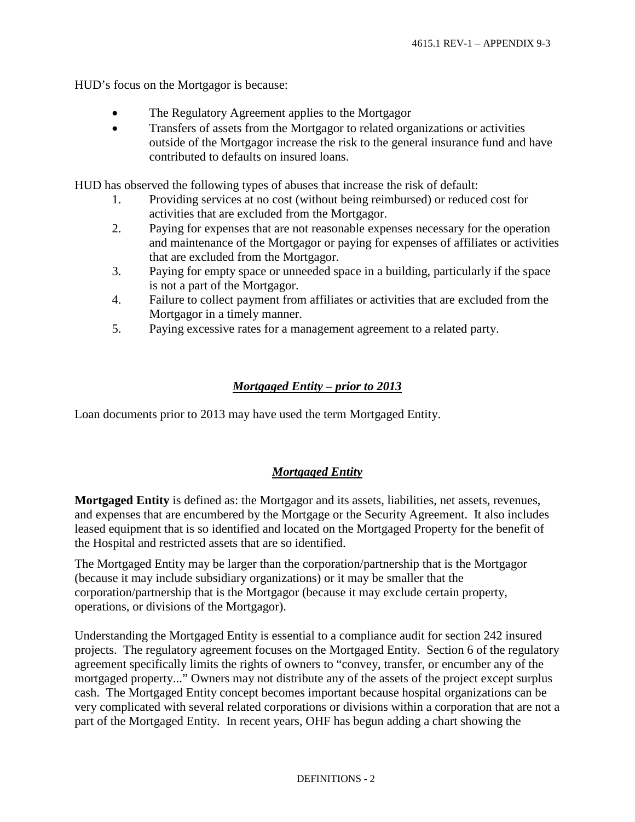HUD's focus on the Mortgagor is because:

- The Regulatory Agreement applies to the Mortgagor
- Transfers of assets from the Mortgagor to related organizations or activities outside of the Mortgagor increase the risk to the general insurance fund and have contributed to defaults on insured loans.

HUD has observed the following types of abuses that increase the risk of default:

- 1. Providing services at no cost (without being reimbursed) or reduced cost for activities that are excluded from the Mortgagor.
- 2. Paying for expenses that are not reasonable expenses necessary for the operation and maintenance of the Mortgagor or paying for expenses of affiliates or activities that are excluded from the Mortgagor.
- 3. Paying for empty space or unneeded space in a building, particularly if the space is not a part of the Mortgagor.
- 4. Failure to collect payment from affiliates or activities that are excluded from the Mortgagor in a timely manner.
- 5. Paying excessive rates for a management agreement to a related party.

### *Mortgaged Entity – prior to 2013*

Loan documents prior to 2013 may have used the term Mortgaged Entity.

#### *Mortgaged Entity*

**Mortgaged Entity** is defined as: the Mortgagor and its assets, liabilities, net assets, revenues, and expenses that are encumbered by the Mortgage or the Security Agreement. It also includes leased equipment that is so identified and located on the Mortgaged Property for the benefit of the Hospital and restricted assets that are so identified.

The Mortgaged Entity may be larger than the corporation/partnership that is the Mortgagor (because it may include subsidiary organizations) or it may be smaller that the corporation/partnership that is the Mortgagor (because it may exclude certain property, operations, or divisions of the Mortgagor).

Understanding the Mortgaged Entity is essential to a compliance audit for section 242 insured projects. The regulatory agreement focuses on the Mortgaged Entity. Section 6 of the regulatory agreement specifically limits the rights of owners to "convey, transfer, or encumber any of the mortgaged property..." Owners may not distribute any of the assets of the project except surplus cash. The Mortgaged Entity concept becomes important because hospital organizations can be very complicated with several related corporations or divisions within a corporation that are not a part of the Mortgaged Entity. In recent years, OHF has begun adding a chart showing the